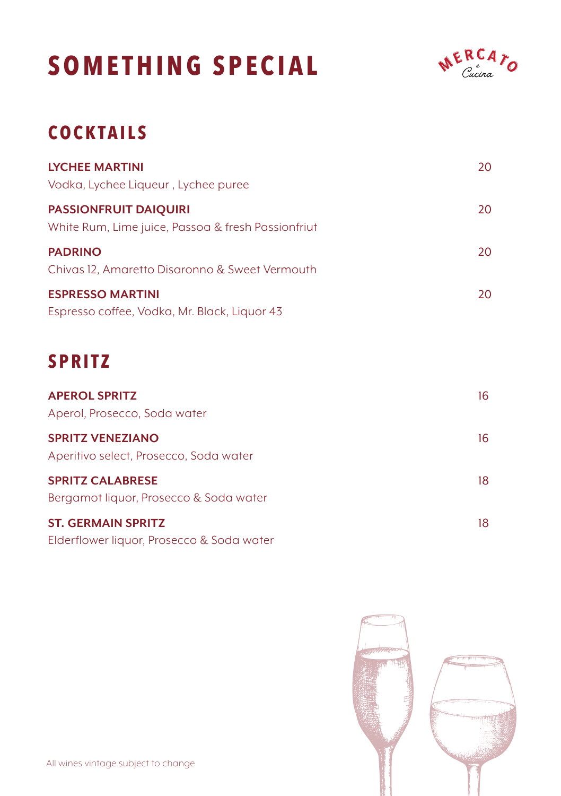# **SOMETHING SPECIAL**



## **COCKTAILS**

| <b>LYCHEE MARTINI</b><br>Vodka, Lychee Liqueur, Lychee puree                       | 20 |
|------------------------------------------------------------------------------------|----|
| <b>PASSIONFRUIT DAIQUIRI</b><br>White Rum, Lime juice, Passoa & fresh Passionfriut | 20 |
| <b>PADRINO</b><br>Chivas 12, Amaretto Disaronno & Sweet Vermouth                   | 20 |
| <b>ESPRESSO MARTINI</b><br>Espresso coffee, Vodka, Mr. Black, Liquor 43            | 20 |

## **SPRITZ**

| <b>APEROL SPRITZ</b><br>Aperol, Prosecco, Soda water                   | 16 |
|------------------------------------------------------------------------|----|
| <b>SPRITZ VENEZIANO</b><br>Aperitivo select, Prosecco, Soda water      | 16 |
| <b>SPRITZ CALABRESE</b><br>Bergamot liquor, Prosecco & Soda water      | 18 |
| <b>ST. GERMAIN SPRITZ</b><br>Elderflower liquor, Prosecco & Soda water | 18 |

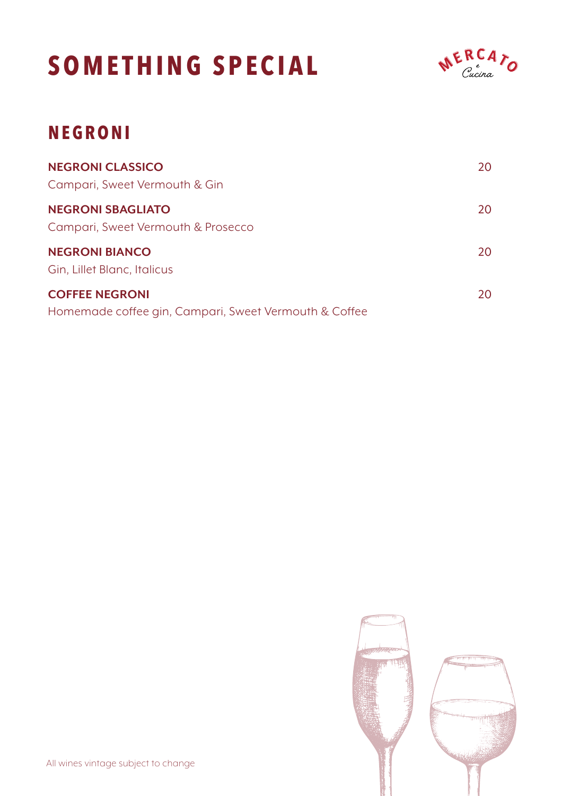# **SOMETHING SPECIAL**



## **NEGRONI**

| <b>NEGRONI CLASSICO</b><br>Campari, Sweet Vermouth & Gin                       | 20  |
|--------------------------------------------------------------------------------|-----|
| <b>NEGRONI SBAGLIATO</b><br>Campari, Sweet Vermouth & Prosecco                 | 20. |
| <b>NEGRONI BIANCO</b><br>Gin, Lillet Blanc, Italicus                           | 20. |
| <b>COFFEE NEGRONI</b><br>Homemade coffee gin, Campari, Sweet Vermouth & Coffee | 20. |

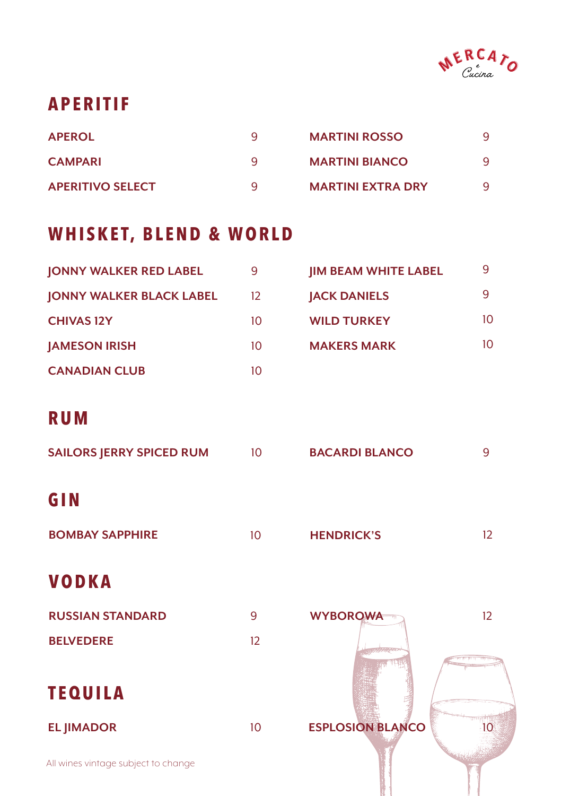

#### **APERITIF**

| <b>APEROL</b>           | q | <b>MARTINI ROSSO</b>     |  |
|-------------------------|---|--------------------------|--|
| <b>CAMPARI</b>          | a | <b>MARTINI BIANCO</b>    |  |
| <b>APERITIVO SELECT</b> | a | <b>MARTINI EXTRA DRY</b> |  |

#### **WHISKET, BLEND & WORLD**

| <b>JONNY WALKER RED LABEL</b>   | 9  | <b>IIM BEAM WHITE LABEL</b> | q  |
|---------------------------------|----|-----------------------------|----|
| <b>JONNY WALKER BLACK LABEL</b> | 12 | <b>JACK DANIELS</b>         | q  |
| <b>CHIVAS 12Y</b>               | 10 | <b>WILD TURKEY</b>          | 10 |
| <b>JAMESON IRISH</b>            | 10 | <b>MAKERS MARK</b>          | 10 |
| <b>CANADIAN CLUB</b>            | 10 |                             |    |

#### **RUM**

| <b>SAILORS JERRY SPICED RUM</b> | 10 | <b>BACARDI BLANCO</b> | q |
|---------------------------------|----|-----------------------|---|
| GIN                             |    |                       |   |
| <b>BOMBAY SAPPHIRE</b>          | 10 | <b>HENDRICK'S</b>     |   |

10

#### **VODKA**

| <b>RUSSIAN STANDARD</b> | q |
|-------------------------|---|
| <b>BELVEDERE</b>        |   |

#### **TEQUILA**

**EL JIMADOR**

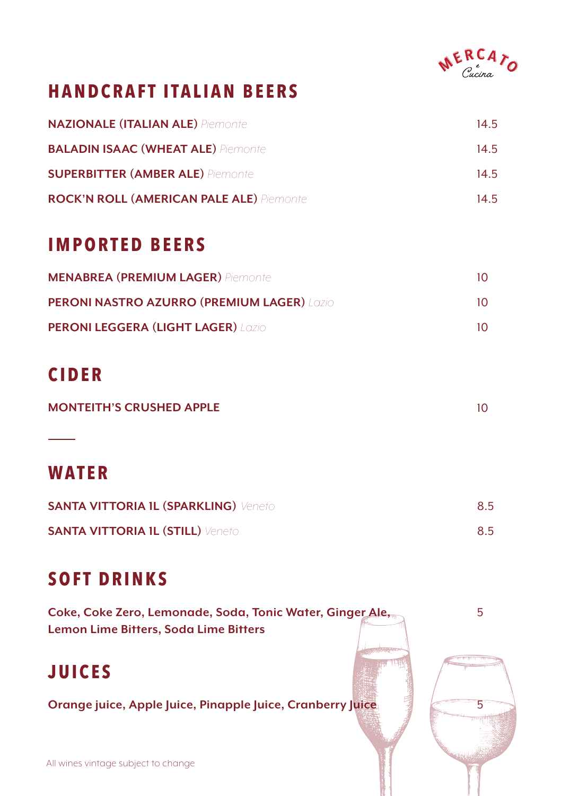

## **HANDCRAFT ITALIAN BEERS**

| <b>NAZIONALE (ITALIAN ALE)</b> Piemonte         | 14.5 |
|-------------------------------------------------|------|
| <b>BALADIN ISAAC (WHEAT ALE)</b> Piemonte       | 14.5 |
| <b>SUPERBITTER (AMBER ALE)</b> Piemonte         | 14.5 |
| <b>ROCK'N ROLL (AMERICAN PALE ALE)</b> Piemonte | 14.5 |

### **IMPORTED BEERS**

| <b>MENABREA (PREMIUM LAGER)</b> Piemonte          | 10.       |
|---------------------------------------------------|-----------|
| <b>PERONI NASTRO AZURRO (PREMIUM LAGER) LOZIO</b> | $10^{-1}$ |
| <b>PERONI LEGGERA (LIGHT LAGER) LOZIO</b>         | $10^{-1}$ |

## **CIDER**

| <b>MONTEITH'S CRUSHED APPLE</b> |  |
|---------------------------------|--|
|                                 |  |

### **WATER**

| <b>SANTA VITTORIA IL (SPARKLING)</b> Veneto | 8.5 |
|---------------------------------------------|-----|
| <b>SANTA VITTORIA 1L (STILL)</b> Veneto     | 8.5 |

## **SOFT DRINKS**

| Coke, Coke Zero, Lemonade, Soda, Tonic Water, Ginger Ale,  |  |
|------------------------------------------------------------|--|
| Lemon Lime Bitters, Soda Lime Bitters                      |  |
|                                                            |  |
| <b>JUICES</b>                                              |  |
|                                                            |  |
| Orange juice, Apple Juice, Pinapple Juice, Cranberry Juice |  |
|                                                            |  |
|                                                            |  |
| All wines vintage subject to change                        |  |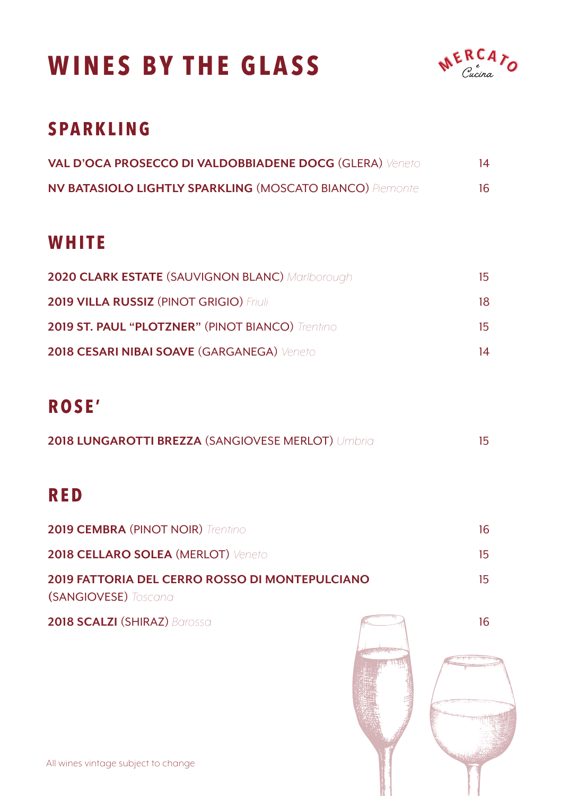## **WINES BY THE GLASS**



### **SPARKLING**

| <b>VAL D'OCA PROSECCO DI VALDOBBIADENE DOCG (GLERA) Veneto</b>  | 14 |
|-----------------------------------------------------------------|----|
| <b>NV BATASIOLO LIGHTLY SPARKLING (MOSCATO BIANCO)</b> Piemonte | 16 |

#### **WHITE**

| <b>2020 CLARK ESTATE (SAUVIGNON BLANC) Mariborough</b>  | 15. |
|---------------------------------------------------------|-----|
| <b>2019 VILLA RUSSIZ (PINOT GRIGIO) Friuli</b>          | 18. |
| <b>2019 ST. PAUL "PLOTZNER" (PINOT BIANCO)</b> Trentino | 15. |
| 2018 CESARI NIBAI SOAVE (GARGANEGA) Veneto              | 14  |

### **ROSE'**

| <b>2018 LUNGAROTTI BREZZA (SANGIOVESE MERLOT) Umbria</b> |  |
|----------------------------------------------------------|--|
|                                                          |  |

### **RED**

| <b>2019 CEMBRA (PINOT NOIR)</b> Trentino                                             |     |
|--------------------------------------------------------------------------------------|-----|
| <b>2018 CELLARO SOLEA (MERLOT) Veneto</b>                                            | 15. |
| <b>2019 FATTORIA DEL CERRO ROSSO DI MONTEPULCIANO</b><br><b>(SANGIOVESE)</b> Toscana | 15. |

**2018 SCALZI** (SHIRAZ) *Barossa*

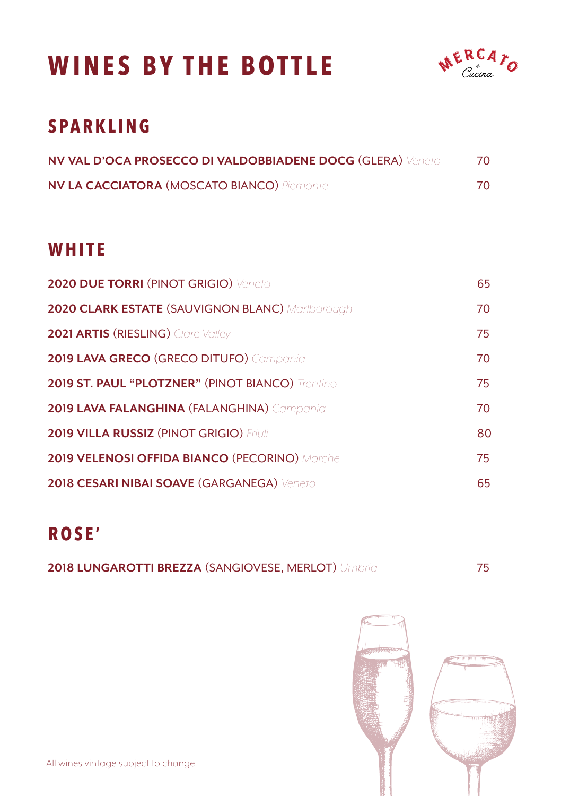## **WINES BY THE BOTTLE**



## **SPARKLING**

| <b>NV VAL D'OCA PROSECCO DI VALDOBBIADENE DOCG (GLERA) Veneto</b> |    |
|-------------------------------------------------------------------|----|
| <b>NV LA CACCIATORA (MOSCATO BIANCO) Piemonte</b>                 | 70 |

#### **WHITE**

| 2020 DUE TORRI (PINOT GRIGIO) Veneto                    | 65 |
|---------------------------------------------------------|----|
| <b>2020 CLARK ESTATE (SAUVIGNON BLANC) Mariborough</b>  | 70 |
| <b>2021 ARTIS (RIESLING)</b> Clare Valley               | 75 |
| 2019 LAVA GRECO (GRECO DITUFO) Campania                 | 70 |
| <b>2019 ST. PAUL "PLOTZNER" (PINOT BIANCO)</b> Trentino | 75 |
| 2019 LAVA FALANGHINA (FALANGHINA) Campania              | 70 |
| <b>2019 VILLA RUSSIZ (PINOT GRIGIO) Friuli</b>          | 80 |
| <b>2019 VELENOSI OFFIDA BIANCO (PECORINO) Marche</b>    | 75 |
| 2018 CESARI NIBAI SOAVE (GARGANEGA) Veneto              | 65 |

## **ROSE'**

| 2018 LUNGAROTTI BREZZA (SANGIOVESE, MERLOT) Umbria |  |
|----------------------------------------------------|--|
|                                                    |  |

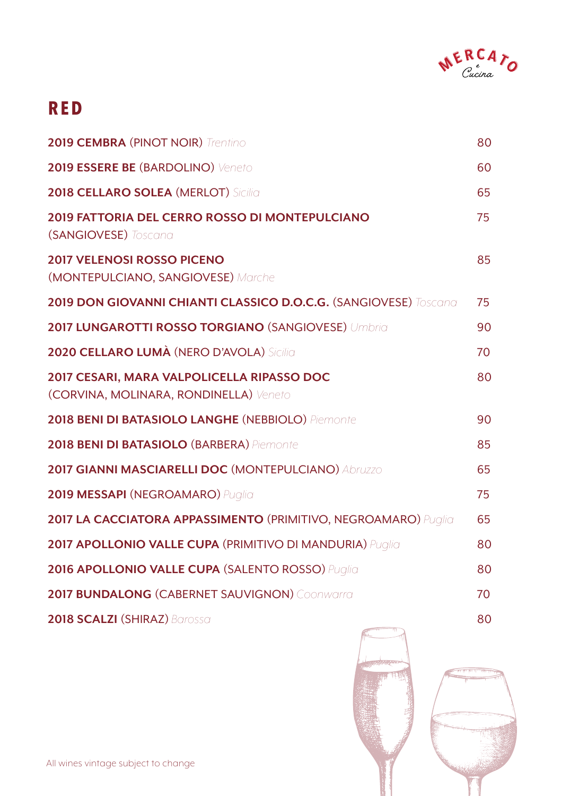

#### **RED**

| <b>2019 CEMBRA (PINOT NOIR)</b> Trentino                                             | 80 |
|--------------------------------------------------------------------------------------|----|
| 2019 ESSERE BE (BARDOLINO) Veneto                                                    | 60 |
| <b>2018 CELLARO SOLEA (MERLOT) Sicilia</b>                                           | 65 |
| 2019 FATTORIA DEL CERRO ROSSO DI MONTEPULCIANO<br>(SANGIOVESE) Toscana               | 75 |
| <b>2017 VELENOSI ROSSO PICENO</b><br>(MONTEPULCIANO, SANGIOVESE) Marche              | 85 |
| 2019 DON GIOVANNI CHIANTI CLASSICO D.O.C.G. (SANGIOVESE) Toscana                     | 75 |
| 2017 LUNGAROTTI ROSSO TORGIANO (SANGIOVESE) Umbria                                   | 90 |
| 2020 CELLARO LUMÀ (NERO D'AVOLA) Sicilia                                             | 70 |
| 2017 CESARI, MARA VALPOLICELLA RIPASSO DOC<br>(CORVINA, MOLINARA, RONDINELLA) Veneto | 80 |
| 2018 BENI DI BATASIOLO LANGHE (NEBBIOLO) Piemonte                                    | 90 |
| 2018 BENI DI BATASIOLO (BARBERA) Piemonte                                            | 85 |
| 2017 GIANNI MASCIARELLI DOC (MONTEPULCIANO) Abruzzo                                  | 65 |
| 2019 MESSAPI (NEGROAMARO) Puglia                                                     | 75 |
| 2017 LA CACCIATORA APPASSIMENTO (PRIMITIVO, NEGROAMARO) Puglia                       | 65 |
| 2017 APOLLONIO VALLE CUPA (PRIMITIVO DI MANDURIA) Puglia                             | 80 |
| 2016 APOLLONIO VALLE CUPA (SALENTO ROSSO) Puglia                                     | 80 |
| 2017 BUNDALONG (CABERNET SAUVIGNON) Coonwarra                                        | 70 |
| 2018 SCALZI (SHIRAZ) Barossa                                                         | 80 |